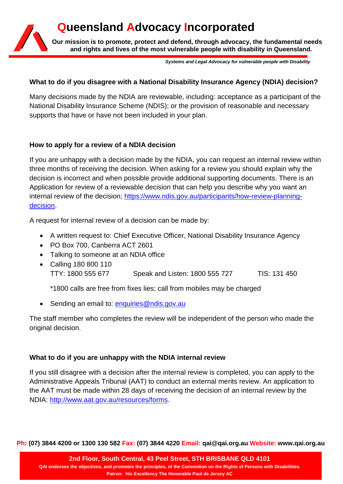# **Queensland Advocacy Incorporated**

**Our mission is to promote, protect and defend, through advocacy, the fundamental needs and rights and lives of the most vulnerable people with disability in Queensland.**

*Systems and Legal Advocacy for vulnerable people with Disability*

## **What to do if you disagree with a National Disability Insurance Agency (NDIA) decision?**

Many decisions made by the NDIA are reviewable, including: acceptance as a participant of the National Disability Insurance Scheme (NDIS); or the provision of reasonable and necessary supports that have or have not been included in your plan.

## **How to apply for a review of a NDIA decision**

If you are unhappy with a decision made by the NDIA, you can request an internal review within three months of receiving the decision. When asking for a review you should explain why the decision is incorrect and when possible provide additional supporting documents. There is an Application for review of a reviewable decision that can help you describe why you want an internal review of the decision; [https://www.ndis.gov.au/participants/how-review-planning](https://www.ndis.gov.au/participants/how-review-planning-decision)[decision.](https://www.ndis.gov.au/participants/how-review-planning-decision)

A request for internal review of a decision can be made by:

- A written request to: Chief Executive Officer, National Disability Insurance Agency
- PO Box 700, Canberra ACT 2601
- Talking to someone at an NDIA office
- Calling 180 800 110 TTY: 1800 555 677 Speak and Listen: 1800 555 727 TIS: 131 450

\*1800 calls are free from fixes lies; call from mobiles may be charged

• Sending an email to: [enquiries@ndis.gov.au](mailto:enquiries@ndis.gov.au)

The staff member who completes the review will be independent of the person who made the original decision.

# **What to do if you are unhappy with the NDIA internal review**

If you still disagree with a decision after the internal review is completed, you can apply to the Administrative Appeals Tribunal (AAT) to conduct an external merits review. An application to the AAT must be made within 28 days of receiving the decision of an internal review by the NDIA: [http://www.aat.gov.au/resources/forms.](http://www.aat.gov.au/resources/forms)

**Ph: (07) 3844 4200 or 1300 130 582 Fax: (07) 3844 4220 Email: qai@qai.org.au Website: www.qai.org.au**

**2nd Floor, South Central, 43 Peel Street, STH BRISBANE QLD 4101 QAI endorses the objectives, and promotes the principles, of the Convention on the Rights of Persons with Disabilities. Patron: His Excellency The Honorable Paul de Jersey AC**